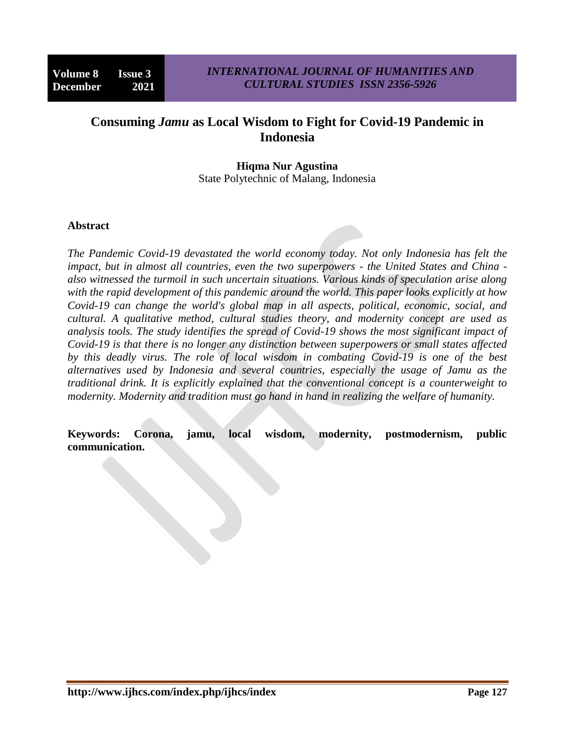# **Consuming** *Jamu* **as Local Wisdom to Fight for Covid-19 Pandemic in Indonesia**

### **Hiqma Nur Agustina** State Polytechnic of Malang, Indonesia

#### **Abstract**

*The Pandemic Covid-19 devastated the world economy today. Not only Indonesia has felt the impact, but in almost all countries, even the two superpowers - the United States and China also witnessed the turmoil in such uncertain situations. Various kinds of speculation arise along with the rapid development of this pandemic around the world. This paper looks explicitly at how Covid-19 can change the world's global map in all aspects, political, economic, social, and cultural. A qualitative method, cultural studies theory, and modernity concept are used as analysis tools. The study identifies the spread of Covid-19 shows the most significant impact of Covid-19 is that there is no longer any distinction between superpowers or small states affected by this deadly virus. The role of local wisdom in combating Covid-19 is one of the best alternatives used by Indonesia and several countries, especially the usage of Jamu as the traditional drink. It is explicitly explained that the conventional concept is a counterweight to modernity. Modernity and tradition must go hand in hand in realizing the welfare of humanity.*

**Keywords: Corona, jamu, local wisdom, modernity, postmodernism, public communication.**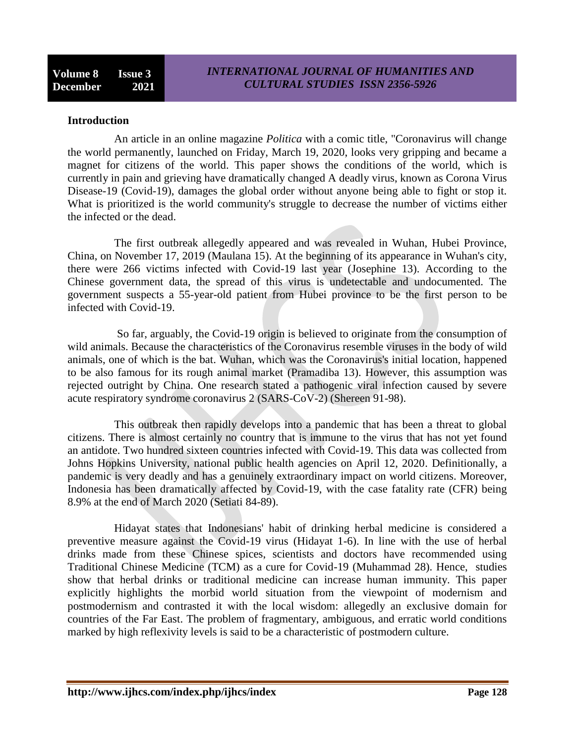### **Introduction**

An article in an online magazine *Politica* with a comic title, "Coronavirus will change the world permanently, launched on Friday, March 19, 2020, looks very gripping and became a magnet for citizens of the world. This paper shows the conditions of the world, which is currently in pain and grieving have dramatically changed A deadly virus, known as Corona Virus Disease-19 (Covid-19), damages the global order without anyone being able to fight or stop it. What is prioritized is the world community's struggle to decrease the number of victims either the infected or the dead.

The first outbreak allegedly appeared and was revealed in Wuhan, Hubei Province, China, on November 17, 2019 (Maulana 15). At the beginning of its appearance in Wuhan's city, there were 266 victims infected with Covid-19 last year (Josephine 13). According to the Chinese government data, the spread of this virus is undetectable and undocumented. The government suspects a 55-year-old patient from Hubei province to be the first person to be infected with Covid-19.

So far, arguably, the Covid-19 origin is believed to originate from the consumption of wild animals. Because the characteristics of the Coronavirus resemble viruses in the body of wild animals, one of which is the bat. Wuhan, which was the Coronavirus's initial location, happened to be also famous for its rough animal market (Pramadiba 13). However, this assumption was rejected outright by China. One research stated a pathogenic viral infection caused by severe acute respiratory syndrome coronavirus 2 (SARS-CoV-2) (Shereen 91-98).

This outbreak then rapidly develops into a pandemic that has been a threat to global citizens. There is almost certainly no country that is immune to the virus that has not yet found an antidote. Two hundred sixteen countries infected with Covid-19. This data was collected from Johns Hopkins University, national public health agencies on April 12, 2020. Definitionally, a pandemic is very deadly and has a genuinely extraordinary impact on world citizens. Moreover, Indonesia has been dramatically affected by Covid-19, with the case fatality rate (CFR) being 8.9% at the end of March 2020 (Setiati 84-89).

Hidayat states that Indonesians' habit of drinking herbal medicine is considered a preventive measure against the Covid-19 virus (Hidayat 1-6). In line with the use of herbal drinks made from these Chinese spices, scientists and doctors have recommended using Traditional Chinese Medicine (TCM) as a cure for Covid-19 (Muhammad 28). Hence, studies show that herbal drinks or traditional medicine can increase human immunity. This paper explicitly highlights the morbid world situation from the viewpoint of modernism and postmodernism and contrasted it with the local wisdom: allegedly an exclusive domain for countries of the Far East. The problem of fragmentary, ambiguous, and erratic world conditions marked by high reflexivity levels is said to be a characteristic of postmodern culture.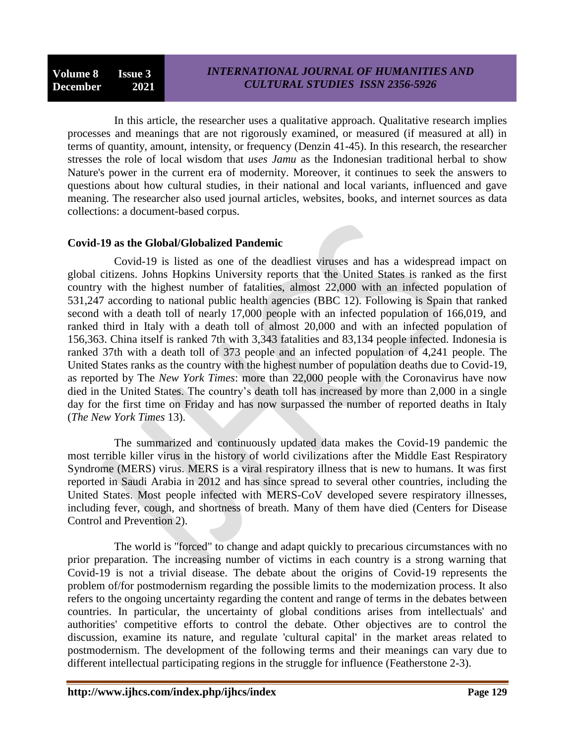In this article, the researcher uses a qualitative approach. Qualitative research implies processes and meanings that are not rigorously examined, or measured (if measured at all) in terms of quantity, amount, intensity, or frequency (Denzin 41-45). In this research, the researcher stresses the role of local wisdom that *uses Jamu* as the Indonesian traditional herbal to show Nature's power in the current era of modernity. Moreover, it continues to seek the answers to questions about how cultural studies, in their national and local variants, influenced and gave meaning. The researcher also used journal articles, websites, books, and internet sources as data collections: a document-based corpus.

## **Covid-19 as the Global/Globalized Pandemic**

Covid-19 is listed as one of the deadliest viruses and has a widespread impact on global citizens. Johns Hopkins University reports that the United States is ranked as the first country with the highest number of fatalities, almost 22,000 with an infected population of 531,247 according to national public health agencies (BBC 12). Following is Spain that ranked second with a death toll of nearly 17,000 people with an infected population of 166,019, and ranked third in Italy with a death toll of almost 20,000 and with an infected population of 156,363. China itself is ranked 7th with 3,343 fatalities and 83,134 people infected. Indonesia is ranked 37th with a death toll of 373 people and an infected population of 4,241 people. The United States ranks as the country with the highest number of population deaths due to Covid-19, as reported by The *New York Times*: more than 22,000 people with the Coronavirus have now died in the United States. The country's death toll has increased by more than 2,000 in a single day for the first time on Friday and has now surpassed the number of reported deaths in Italy (*The New York Times* 13).

The summarized and continuously updated data makes the Covid-19 pandemic the most terrible killer virus in the history of world civilizations after the Middle East Respiratory Syndrome (MERS) virus. MERS is a viral respiratory illness that is new to humans. It was first reported in Saudi Arabia in 2012 and has since spread to several other countries, including the United States. Most people infected with MERS-CoV developed severe respiratory illnesses, including fever, cough, and shortness of breath. Many of them have died (Centers for Disease Control and Prevention 2).

The world is "forced" to change and adapt quickly to precarious circumstances with no prior preparation. The increasing number of victims in each country is a strong warning that Covid-19 is not a trivial disease. The debate about the origins of Covid-19 represents the problem of/for postmodernism regarding the possible limits to the modernization process. It also refers to the ongoing uncertainty regarding the content and range of terms in the debates between countries. In particular, the uncertainty of global conditions arises from intellectuals' and authorities' competitive efforts to control the debate. Other objectives are to control the discussion, examine its nature, and regulate 'cultural capital' in the market areas related to postmodernism. The development of the following terms and their meanings can vary due to different intellectual participating regions in the struggle for influence (Featherstone 2-3).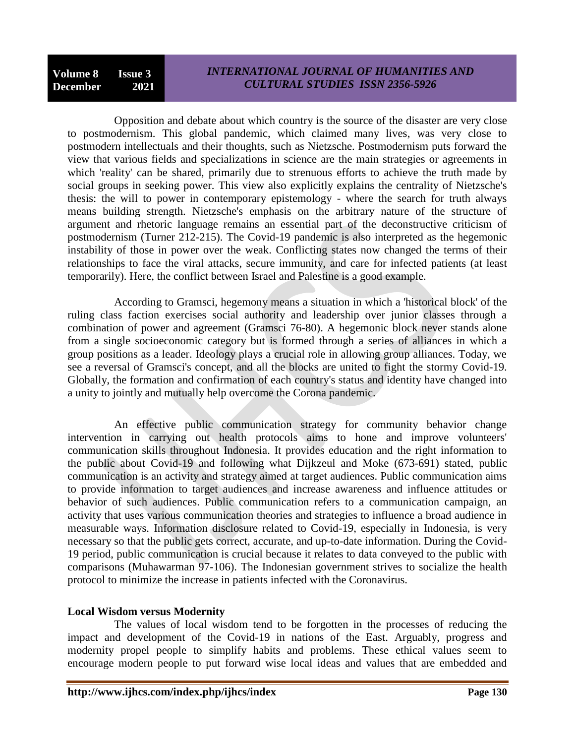Opposition and debate about which country is the source of the disaster are very close to postmodernism. This global pandemic, which claimed many lives, was very close to postmodern intellectuals and their thoughts, such as Nietzsche. Postmodernism puts forward the view that various fields and specializations in science are the main strategies or agreements in which 'reality' can be shared, primarily due to strenuous efforts to achieve the truth made by social groups in seeking power. This view also explicitly explains the centrality of Nietzsche's thesis: the will to power in contemporary epistemology - where the search for truth always means building strength. Nietzsche's emphasis on the arbitrary nature of the structure of argument and rhetoric language remains an essential part of the deconstructive criticism of postmodernism (Turner 212-215). The Covid-19 pandemic is also interpreted as the hegemonic instability of those in power over the weak. Conflicting states now changed the terms of their relationships to face the viral attacks, secure immunity, and care for infected patients (at least temporarily). Here, the conflict between Israel and Palestine is a good example.

According to Gramsci, hegemony means a situation in which a 'historical block' of the ruling class faction exercises social authority and leadership over junior classes through a combination of power and agreement (Gramsci 76-80). A hegemonic block never stands alone from a single socioeconomic category but is formed through a series of alliances in which a group positions as a leader. Ideology plays a crucial role in allowing group alliances. Today, we see a reversal of Gramsci's concept, and all the blocks are united to fight the stormy Covid-19. Globally, the formation and confirmation of each country's status and identity have changed into a unity to jointly and mutually help overcome the Corona pandemic.

An effective public communication strategy for community behavior change intervention in carrying out health protocols aims to hone and improve volunteers' communication skills throughout Indonesia. It provides education and the right information to the public about Covid-19 and following what Dijkzeul and Moke (673-691) stated, public communication is an activity and strategy aimed at target audiences. Public communication aims to provide information to target audiences and increase awareness and influence attitudes or behavior of such audiences. Public communication refers to a communication campaign, an activity that uses various communication theories and strategies to influence a broad audience in measurable ways. Information disclosure related to Covid-19, especially in Indonesia, is very necessary so that the public gets correct, accurate, and up-to-date information. During the Covid-19 period, public communication is crucial because it relates to data conveyed to the public with comparisons (Muhawarman 97-106). The Indonesian government strives to socialize the health protocol to minimize the increase in patients infected with the Coronavirus.

## **Local Wisdom versus Modernity**

The values of local wisdom tend to be forgotten in the processes of reducing the impact and development of the Covid-19 in nations of the East. Arguably, progress and modernity propel people to simplify habits and problems. These ethical values seem to encourage modern people to put forward wise local ideas and values that are embedded and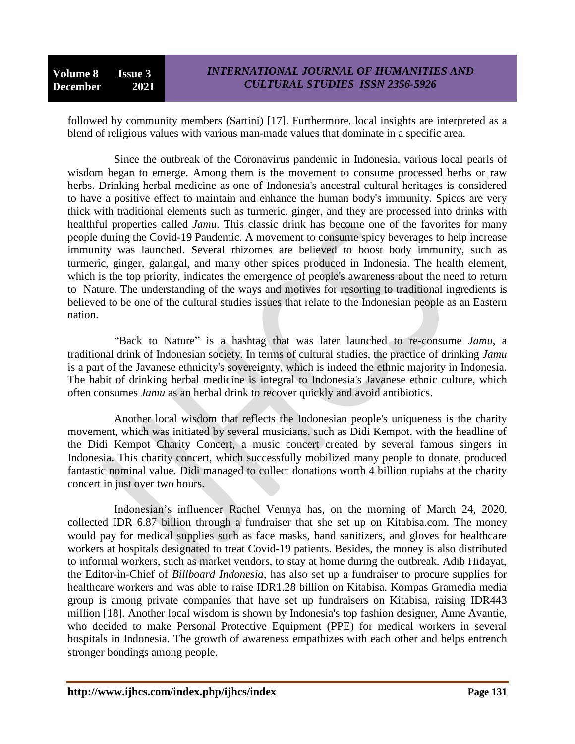followed by community members (Sartini) [17]. Furthermore, local insights are interpreted as a blend of religious values with various man-made values that dominate in a specific area.

Since the outbreak of the Coronavirus pandemic in Indonesia, various local pearls of wisdom began to emerge. Among them is the movement to consume processed herbs or raw herbs. Drinking herbal medicine as one of Indonesia's ancestral cultural heritages is considered to have a positive effect to maintain and enhance the human body's immunity. Spices are very thick with traditional elements such as turmeric, ginger, and they are processed into drinks with healthful properties called *Jamu*. This classic drink has become one of the favorites for many people during the Covid-19 Pandemic. A movement to consume spicy beverages to help increase immunity was launched. Several rhizomes are believed to boost body immunity, such as turmeric, ginger, galangal, and many other spices produced in Indonesia. The health element, which is the top priority, indicates the emergence of people's awareness about the need to return to Nature. The understanding of the ways and motives for resorting to traditional ingredients is believed to be one of the cultural studies issues that relate to the Indonesian people as an Eastern nation.

"Back to Nature" is a hashtag that was later launched to re-consume *Jamu*, a traditional drink of Indonesian society. In terms of cultural studies, the practice of drinking *Jamu* is a part of the Javanese ethnicity's sovereignty, which is indeed the ethnic majority in Indonesia. The habit of drinking herbal medicine is integral to Indonesia's Javanese ethnic culture, which often consumes *Jamu* as an herbal drink to recover quickly and avoid antibiotics.

Another local wisdom that reflects the Indonesian people's uniqueness is the charity movement, which was initiated by several musicians, such as Didi Kempot, with the headline of the Didi Kempot Charity Concert, a music concert created by several famous singers in Indonesia. This charity concert, which successfully mobilized many people to donate, produced fantastic nominal value. Didi managed to collect donations worth 4 billion rupiahs at the charity concert in just over two hours.

Indonesian's influencer Rachel Vennya has, on the morning of March 24, 2020, collected IDR 6.87 billion through a fundraiser that she set up on Kitabisa.com. The money would pay for medical supplies such as face masks, hand sanitizers, and gloves for healthcare workers at hospitals designated to treat Covid-19 patients. Besides, the money is also distributed to informal workers, such as market vendors, to stay at home during the outbreak. Adib Hidayat, the Editor-in-Chief of *Billboard Indonesia*, has also set up a fundraiser to procure supplies for healthcare workers and was able to raise IDR1.28 billion on Kitabisa. Kompas Gramedia media group is among private companies that have set up fundraisers on Kitabisa, raising IDR443 million [18]. Another local wisdom is shown by Indonesia's top fashion designer, Anne Avantie, who decided to make Personal Protective Equipment (PPE) for medical workers in several hospitals in Indonesia. The growth of awareness empathizes with each other and helps entrench stronger bondings among people.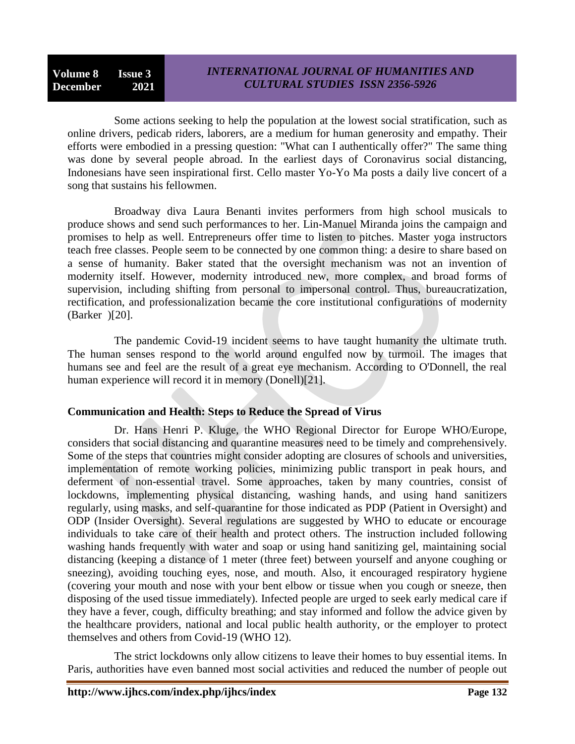**Volume 8 Issue 3 December 2021**

Some actions seeking to help the population at the lowest social stratification, such as online drivers, pedicab riders, laborers, are a medium for human generosity and empathy. Their efforts were embodied in a pressing question: "What can I authentically offer?" The same thing was done by several people abroad. In the earliest days of Coronavirus social distancing, Indonesians have seen inspirational first. Cello master Yo-Yo Ma posts a daily live concert of a song that sustains his fellowmen.

Broadway diva Laura Benanti invites performers from high school musicals to produce shows and send such performances to her. Lin-Manuel Miranda joins the campaign and promises to help as well. Entrepreneurs offer time to listen to pitches. Master yoga instructors teach free classes. People seem to be connected by one common thing: a desire to share based on a sense of humanity. Baker stated that the oversight mechanism was not an invention of modernity itself. However, modernity introduced new, more complex, and broad forms of supervision, including shifting from personal to impersonal control. Thus, bureaucratization, rectification, and professionalization became the core institutional configurations of modernity (Barker )[20].

The pandemic Covid-19 incident seems to have taught humanity the ultimate truth. The human senses respond to the world around engulfed now by turmoil. The images that humans see and feel are the result of a great eye mechanism. According to O'Donnell, the real human experience will record it in memory (Donell)[21].

## **Communication and Health: Steps to Reduce the Spread of Virus**

Dr. Hans Henri P. Kluge, the WHO Regional Director for Europe WHO/Europe, considers that social distancing and quarantine measures need to be timely and comprehensively. Some of the steps that countries might consider adopting are closures of schools and universities, implementation of remote working policies, minimizing public transport in peak hours, and deferment of non-essential travel. Some approaches, taken by many countries, consist of lockdowns, implementing physical distancing, washing hands, and using hand sanitizers regularly, using masks, and self-quarantine for those indicated as PDP (Patient in Oversight) and ODP (Insider Oversight). Several regulations are suggested by WHO to educate or encourage individuals to take care of their health and protect others. The instruction included following washing hands frequently with water and soap or using hand sanitizing gel, maintaining social distancing (keeping a distance of 1 meter (three feet) between yourself and anyone coughing or sneezing), avoiding touching eyes, nose, and mouth. Also, it encouraged respiratory hygiene (covering your mouth and nose with your bent elbow or tissue when you cough or sneeze, then disposing of the used tissue immediately). Infected people are urged to seek early medical care if they have a fever, cough, difficulty breathing; and stay informed and follow the advice given by the healthcare providers, national and local public health authority, or the employer to protect themselves and others from Covid-19 (WHO 12).

The strict lockdowns only allow citizens to leave their homes to buy essential items. In Paris, authorities have even banned most social activities and reduced the number of people out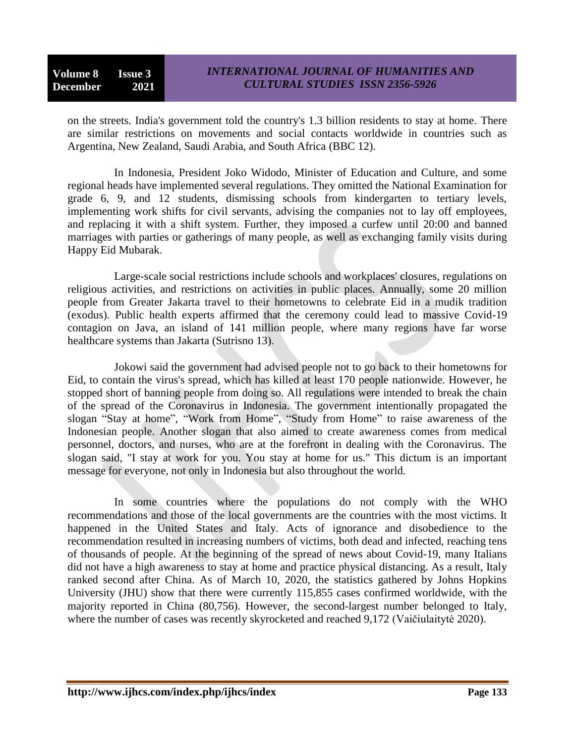on the streets. India's government told the country's 1.3 billion residents to stay at home. There are similar restrictions on movements and social contacts worldwide in countries such as Argentina, New Zealand, Saudi Arabia, and South Africa (BBC 12).

In Indonesia, President Joko Widodo, Minister of Education and Culture, and some regional heads have implemented several regulations. They omitted the National Examination for grade 6, 9, and 12 students, dismissing schools from kindergarten to tertiary levels, implementing work shifts for civil servants, advising the companies not to lay off employees, and replacing it with a shift system. Further, they imposed a curfew until 20:00 and banned marriages with parties or gatherings of many people, as well as exchanging family visits during Happy Eid Mubarak.

Large-scale social restrictions include schools and workplaces' closures, regulations on religious activities, and restrictions on activities in public places. Annually, some 20 million people from Greater Jakarta travel to their hometowns to celebrate Eid in a mudik tradition (exodus). Public health experts affirmed that the ceremony could lead to massive Covid-19 contagion on Java, an island of 141 million people, where many regions have far worse healthcare systems than Jakarta (Sutrisno 13).

Jokowi said the government had advised people not to go back to their hometowns for Eid, to contain the virus's spread, which has killed at least 170 people nationwide. However, he stopped short of banning people from doing so. All regulations were intended to break the chain of the spread of the Coronavirus in Indonesia. The government intentionally propagated the slogan "Stay at home", "Work from Home", "Study from Home" to raise awareness of the Indonesian people. Another slogan that also aimed to create awareness comes from medical personnel, doctors, and nurses, who are at the forefront in dealing with the Coronavirus. The slogan said, "I stay at work for you. You stay at home for us." This dictum is an important message for everyone, not only in Indonesia but also throughout the world.

In some countries where the populations do not comply with the WHO recommendations and those of the local governments are the countries with the most victims. It happened in the United States and Italy. Acts of ignorance and disobedience to the recommendation resulted in increasing numbers of victims, both dead and infected, reaching tens of thousands of people. At the beginning of the spread of news about Covid-19, many Italians did not have a high awareness to stay at home and practice physical distancing. As a result, Italy ranked second after China. As of March 10, 2020, the statistics gathered by Johns Hopkins University (JHU) show that there were currently 115,855 cases confirmed worldwide, with the majority reported in China (80,756). However, the second-largest number belonged to Italy, where the number of cases was recently skyrocketed and reached 9,172 (Vaičiulaitytė 2020).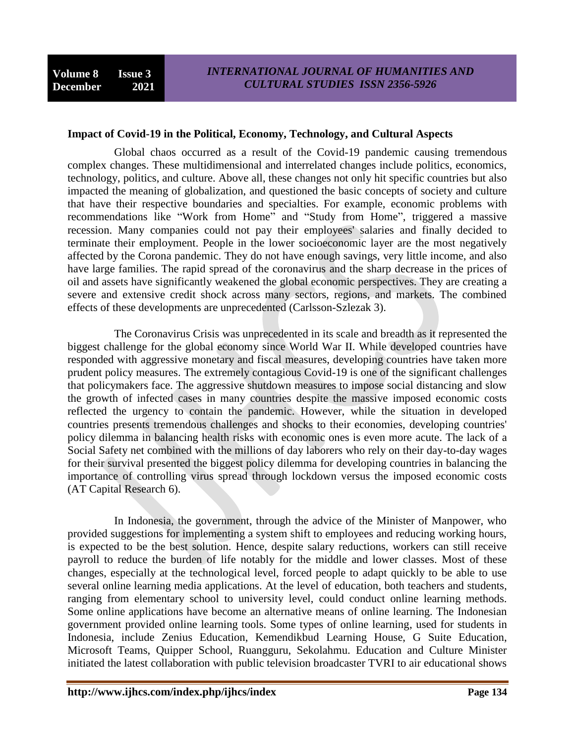#### **Impact of Covid-19 in the Political, Economy, Technology, and Cultural Aspects**

Global chaos occurred as a result of the Covid-19 pandemic causing tremendous complex changes. These multidimensional and interrelated changes include politics, economics, technology, politics, and culture. Above all, these changes not only hit specific countries but also impacted the meaning of globalization, and questioned the basic concepts of society and culture that have their respective boundaries and specialties. For example, economic problems with recommendations like "Work from Home" and "Study from Home", triggered a massive recession. Many companies could not pay their employees' salaries and finally decided to terminate their employment. People in the lower socioeconomic layer are the most negatively affected by the Corona pandemic. They do not have enough savings, very little income, and also have large families. The rapid spread of the coronavirus and the sharp decrease in the prices of oil and assets have significantly weakened the global economic perspectives. They are creating a severe and extensive credit shock across many sectors, regions, and markets. The combined effects of these developments are unprecedented (Carlsson-Szlezak 3).

The Coronavirus Crisis was unprecedented in its scale and breadth as it represented the biggest challenge for the global economy since World War II. While developed countries have responded with aggressive monetary and fiscal measures, developing countries have taken more prudent policy measures. The extremely contagious Covid-19 is one of the significant challenges that policymakers face. The aggressive shutdown measures to impose social distancing and slow the growth of infected cases in many countries despite the massive imposed economic costs reflected the urgency to contain the pandemic. However, while the situation in developed countries presents tremendous challenges and shocks to their economies, developing countries' policy dilemma in balancing health risks with economic ones is even more acute. The lack of a Social Safety net combined with the millions of day laborers who rely on their day-to-day wages for their survival presented the biggest policy dilemma for developing countries in balancing the importance of controlling virus spread through lockdown versus the imposed economic costs (AT Capital Research 6).

In Indonesia, the government, through the advice of the Minister of Manpower, who provided suggestions for implementing a system shift to employees and reducing working hours, is expected to be the best solution. Hence, despite salary reductions, workers can still receive payroll to reduce the burden of life notably for the middle and lower classes. Most of these changes, especially at the technological level, forced people to adapt quickly to be able to use several online learning media applications. At the level of education, both teachers and students, ranging from elementary school to university level, could conduct online learning methods. Some online applications have become an alternative means of online learning. The Indonesian government provided online learning tools. Some types of online learning, used for students in Indonesia, include Zenius Education, Kemendikbud Learning House, G Suite Education, Microsoft Teams, Quipper School, Ruangguru, Sekolahmu. Education and Culture Minister initiated the latest collaboration with public television broadcaster TVRI to air educational shows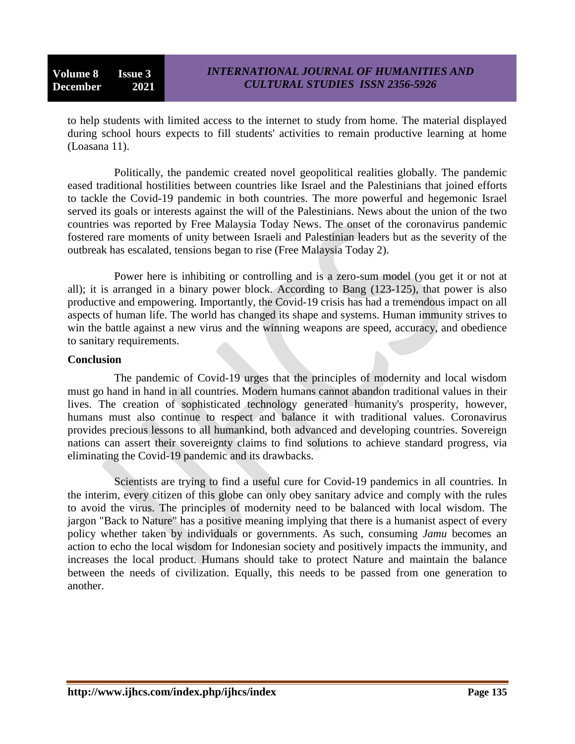to help students with limited access to the internet to study from home. The material displayed during school hours expects to fill students' activities to remain productive learning at home (Loasana 11).

Politically, the pandemic created novel geopolitical realities globally. The pandemic eased traditional hostilities between countries like Israel and the Palestinians that joined efforts to tackle the Covid-19 pandemic in both countries. The more powerful and hegemonic Israel served its goals or interests against the will of the Palestinians. News about the union of the two countries was reported by Free Malaysia Today News. The onset of the coronavirus pandemic fostered rare moments of unity between Israeli and Palestinian leaders but as the severity of the outbreak has escalated, tensions began to rise (Free Malaysia Today 2).

Power here is inhibiting or controlling and is a zero-sum model (you get it or not at all); it is arranged in a binary power block. According to Bang (123-125), that power is also productive and empowering. Importantly, the Covid-19 crisis has had a tremendous impact on all aspects of human life. The world has changed its shape and systems. Human immunity strives to win the battle against a new virus and the winning weapons are speed, accuracy, and obedience to sanitary requirements.

### **Conclusion**

The pandemic of Covid-19 urges that the principles of modernity and local wisdom must go hand in hand in all countries. Modern humans cannot abandon traditional values in their lives. The creation of sophisticated technology generated humanity's prosperity, however, humans must also continue to respect and balance it with traditional values. Coronavirus provides precious lessons to all humankind, both advanced and developing countries. Sovereign nations can assert their sovereignty claims to find solutions to achieve standard progress, via eliminating the Covid-19 pandemic and its drawbacks.

Scientists are trying to find a useful cure for Covid-19 pandemics in all countries. In the interim, every citizen of this globe can only obey sanitary advice and comply with the rules to avoid the virus. The principles of modernity need to be balanced with local wisdom. The jargon "Back to Nature" has a positive meaning implying that there is a humanist aspect of every policy whether taken by individuals or governments. As such, consuming *Jamu* becomes an action to echo the local wisdom for Indonesian society and positively impacts the immunity, and increases the local product. Humans should take to protect Nature and maintain the balance between the needs of civilization. Equally, this needs to be passed from one generation to another.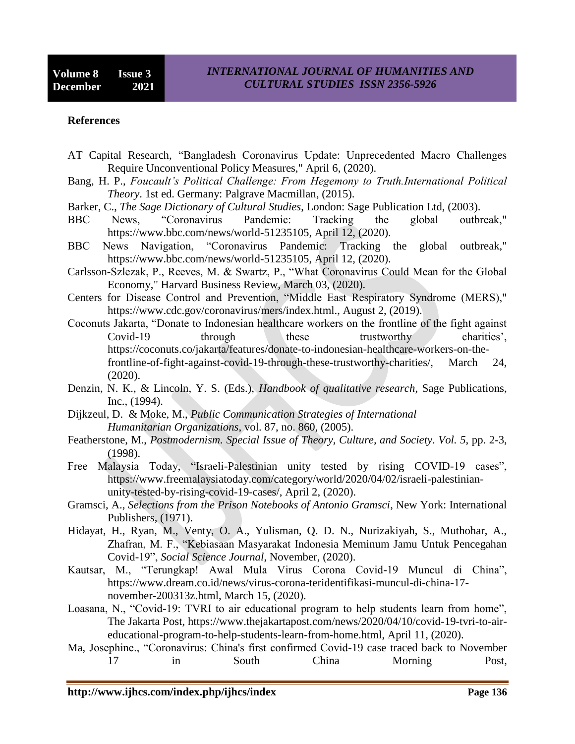#### **References**

- AT Capital Research, "Bangladesh Coronavirus Update: Unprecedented Macro Challenges Require Unconventional Policy Measures," April 6, (2020).
- Bang, H. P., *Foucault's Political Challenge: From Hegemony to Truth.International Political Theory*. 1st ed. Germany: Palgrave Macmillan, (2015).
- Barker, C., *The Sage Dictionary of Cultural Studies*, London: Sage Publication Ltd, (2003).
- BBC News, "Coronavirus Pandemic: Tracking the global outbreak," https://www.bbc.com/news/world-51235105, April 12, (2020).
- BBC News Navigation, "Coronavirus Pandemic: Tracking the global outbreak," https://www.bbc.com/news/world-51235105, April 12, (2020).
- Carlsson-Szlezak, P., Reeves, M. & Swartz, P., "What Coronavirus Could Mean for the Global Economy," Harvard Business Review, March 03, (2020).
- Centers for Disease Control and Prevention, "Middle East Respiratory Syndrome (MERS)," https://www.cdc.gov/coronavirus/mers/index.html., August 2, (2019).
- Coconuts Jakarta, "Donate to Indonesian healthcare workers on the frontline of the fight against Covid-19 through these trustworthy charities', https://coconuts.co/jakarta/features/donate-to-indonesian-healthcare-workers-on-thefrontline-of-fight-against-covid-19-through-these-trustworthy-charities/, March 24, (2020).
- Denzin, N. K., & Lincoln, Y. S. (Eds.), *Handbook of qualitative research*, Sage Publications, Inc., (1994).
- Dijkzeul, D. & Moke, M., *Public Communication Strategies of International Humanitarian Organizations*, vol. 87, no. 860, (2005).
- Featherstone, M., *Postmodernism. Special Issue of Theory, Culture, and Society*. *Vol. 5*, pp. 2-3, (1998).
- Free Malaysia Today, "Israeli-Palestinian unity tested by rising COVID-19 cases", https://www.freemalaysiatoday.com/category/world/2020/04/02/israeli-palestinianunity-tested-by-rising-covid-19-cases/, April 2, (2020).
- Gramsci, A., *Selections from the Prison Notebooks of Antonio Gramsci*, New York: International Publishers, (1971).
- Hidayat, H., Ryan, M., Venty, O. A., Yulisman, Q. D. N., Nurizakiyah, S., Muthohar, A., Zhafran, M. F., "Kebiasaan Masyarakat Indonesia Meminum Jamu Untuk Pencegahan Covid-19", *Social Science Journal*, November, (2020).
- Kautsar, M., "Terungkap! Awal Mula Virus Corona Covid-19 Muncul di China", https://www.dream.co.id/news/virus-corona-teridentifikasi-muncul-di-china-17 november-200313z.html, March 15, (2020).
- Loasana, N., "Covid-19: TVRI to air educational program to help students learn from home", The Jakarta Post, https://www.thejakartapost.com/news/2020/04/10/covid-19-tvri-to-aireducational-program-to-help-students-learn-from-home.html, April 11, (2020).
- Ma, Josephine., "Coronavirus: China's first confirmed Covid-19 case traced back to November 17 in South China Morning Post,